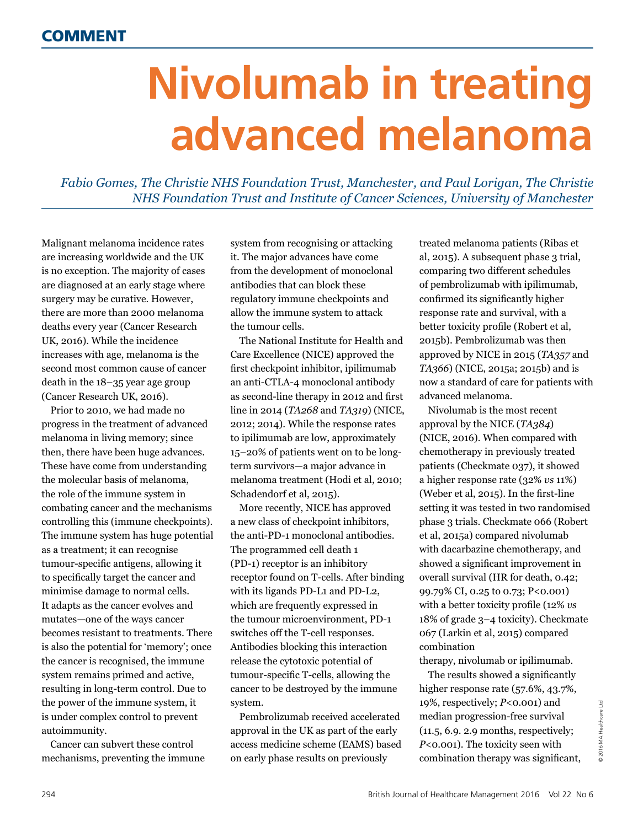## **Nivolumab in treating advanced melanoma**

*Fabio Gomes, The Christie NHS Foundation Trust, Manchester, and Paul Lorigan, The Christie NHS Foundation Trust and Institute of Cancer Sciences, University of Manchester*

Malignant melanoma incidence rates are increasing worldwide and the UK is no exception. The majority of cases are diagnosed at an early stage where surgery may be curative. However, there are more than 2000 melanoma deaths every year (Cancer Research UK, 2016). While the incidence increases with age, melanoma is the second most common cause of cancer death in the 18–35 year age group (Cancer Research UK, 2016).

Prior to 2010, we had made no progress in the treatment of advanced melanoma in living memory; since then, there have been huge advances. These have come from understanding the molecular basis of melanoma, the role of the immune system in combating cancer and the mechanisms controlling this (immune checkpoints). The immune system has huge potential as a treatment; it can recognise tumour-specific antigens, allowing it to specifically target the cancer and minimise damage to normal cells. It adapts as the cancer evolves and mutates—one of the ways cancer becomes resistant to treatments. There is also the potential for 'memory'; once the cancer is recognised, the immune system remains primed and active, resulting in long-term control. Due to the power of the immune system, it is under complex control to prevent autoimmunity.

Cancer can subvert these control mechanisms, preventing the immune system from recognising or attacking it. The major advances have come from the development of monoclonal antibodies that can block these regulatory immune checkpoints and allow the immune system to attack the tumour cells.

The National Institute for Health and Care Excellence (NICE) approved the first checkpoint inhibitor, ipilimumab an anti-CTLA-4 monoclonal antibody as second-line therapy in 2012 and first line in 2014 (*TA268* and *TA319*) (NICE, 2012; 2014). While the response rates to ipilimumab are low, approximately 15–20% of patients went on to be longterm survivors—a major advance in melanoma treatment (Hodi et al, 2010; Schadendorf et al, 2015).

More recently, NICE has approved a new class of checkpoint inhibitors, the anti-PD-1 monoclonal antibodies. The programmed cell death 1 (PD-1) receptor is an inhibitory receptor found on T-cells. After binding with its ligands PD-L1 and PD-L2, which are frequently expressed in the tumour microenvironment, PD-1 switches off the T-cell responses. Antibodies blocking this interaction release the cytotoxic potential of tumour-specific T-cells, allowing the cancer to be destroyed by the immune system.

Pembrolizumab received accelerated approval in the UK as part of the early access medicine scheme (EAMS) based on early phase results on previously

treated melanoma patients (Ribas et al, 2015). A subsequent phase 3 trial, comparing two different schedules of pembrolizumab with ipilimumab, confirmed its significantly higher response rate and survival, with a better toxicity profile (Robert et al, 2015b). Pembrolizumab was then approved by NICE in 2015 (*TA357* and *TA366*) (NICE, 2015a; 2015b) and is now a standard of care for patients with advanced melanoma.

Nivolumab is the most recent approval by the NICE (*TA384*) (NICE, 2016). When compared with chemotherapy in previously treated patients (Checkmate 037), it showed a higher response rate (32% *vs* 11%) (Weber et al, 2015). In the first-line setting it was tested in two randomised phase 3 trials. Checkmate 066 (Robert et al, 2015a) compared nivolumab with dacarbazine chemotherapy, and showed a significant improvement in overall survival (HR for death, 0.42; 99.79% CI, 0.25 to 0.73; P<0.001) with a better toxicity profile (12% *vs* 18% of grade 3–4 toxicity). Checkmate 067 (Larkin et al, 2015) compared combination

therapy, nivolumab or ipilimumab.

The results showed a significantly higher response rate (57.6%, 43.7%, 19%, respectively; *P*<0.001) and median progression-free survival (11.5, 6.9. 2.9 months, respectively; *P*<0.001). The toxicity seen with combination therapy was significant,